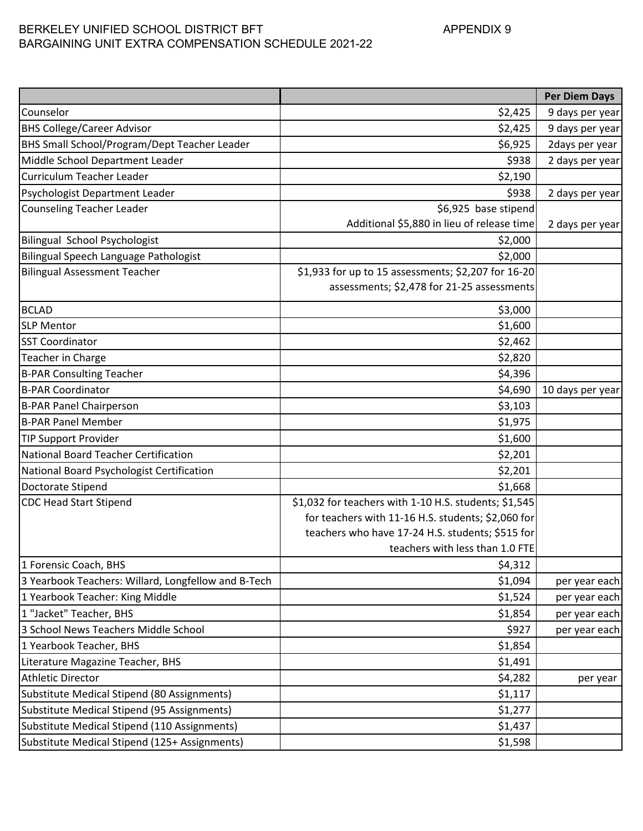# BERKELEY UNIFIED SCHOOL DISTRICT BFT APPENDIX 9 BARGAINING UNIT EXTRA COMPENSATION SCHEDULE 2021-22

|                                                     |                                                       | <b>Per Diem Days</b> |
|-----------------------------------------------------|-------------------------------------------------------|----------------------|
| Counselor                                           | \$2,425                                               | 9 days per year      |
| <b>BHS College/Career Advisor</b>                   | \$2,425                                               | 9 days per year      |
| BHS Small School/Program/Dept Teacher Leader        | \$6,925                                               | 2days per year       |
| Middle School Department Leader                     | \$938                                                 | 2 days per year      |
| Curriculum Teacher Leader                           | \$2,190                                               |                      |
| Psychologist Department Leader                      | \$938                                                 | 2 days per year      |
| <b>Counseling Teacher Leader</b>                    | \$6,925 base stipend                                  |                      |
|                                                     | Additional \$5,880 in lieu of release time            | 2 days per year      |
| <b>Bilingual School Psychologist</b>                | \$2,000                                               |                      |
| Bilingual Speech Language Pathologist               | \$2,000                                               |                      |
| <b>Bilingual Assessment Teacher</b>                 | \$1,933 for up to 15 assessments; \$2,207 for 16-20   |                      |
|                                                     | assessments; \$2,478 for 21-25 assessments            |                      |
| <b>BCLAD</b>                                        | \$3,000                                               |                      |
| <b>SLP Mentor</b>                                   | \$1,600                                               |                      |
| <b>SST Coordinator</b>                              | \$2,462                                               |                      |
| Teacher in Charge                                   | \$2,820                                               |                      |
| <b>B-PAR Consulting Teacher</b>                     | \$4,396                                               |                      |
| <b>B-PAR Coordinator</b>                            | \$4,690                                               | 10 days per year     |
| <b>B-PAR Panel Chairperson</b>                      | \$3,103                                               |                      |
| <b>B-PAR Panel Member</b>                           | \$1,975                                               |                      |
| <b>TIP Support Provider</b>                         | \$1,600                                               |                      |
| National Board Teacher Certification                | \$2,201                                               |                      |
| National Board Psychologist Certification           | \$2,201                                               |                      |
| Doctorate Stipend                                   | \$1,668                                               |                      |
| <b>CDC Head Start Stipend</b>                       | \$1,032 for teachers with 1-10 H.S. students; \$1,545 |                      |
|                                                     | for teachers with 11-16 H.S. students; \$2,060 for    |                      |
|                                                     | teachers who have 17-24 H.S. students; \$515 for      |                      |
|                                                     | teachers with less than 1.0 FTE                       |                      |
| 1 Forensic Coach, BHS                               | \$4,312                                               |                      |
| 3 Yearbook Teachers: Willard, Longfellow and B-Tech | \$1,094                                               | per year each        |
| 1 Yearbook Teacher: King Middle                     | \$1,524                                               | per year each        |
| 1 "Jacket" Teacher, BHS                             | \$1,854                                               | per year each        |
| 3 School News Teachers Middle School                | \$927                                                 | per year each        |
| 1 Yearbook Teacher, BHS                             | \$1,854                                               |                      |
| Literature Magazine Teacher, BHS                    | \$1,491                                               |                      |
| <b>Athletic Director</b>                            | \$4,282                                               | per year             |
| Substitute Medical Stipend (80 Assignments)         | \$1,117                                               |                      |
| Substitute Medical Stipend (95 Assignments)         | \$1,277                                               |                      |
| Substitute Medical Stipend (110 Assignments)        | \$1,437                                               |                      |
| Substitute Medical Stipend (125+ Assignments)       | \$1,598                                               |                      |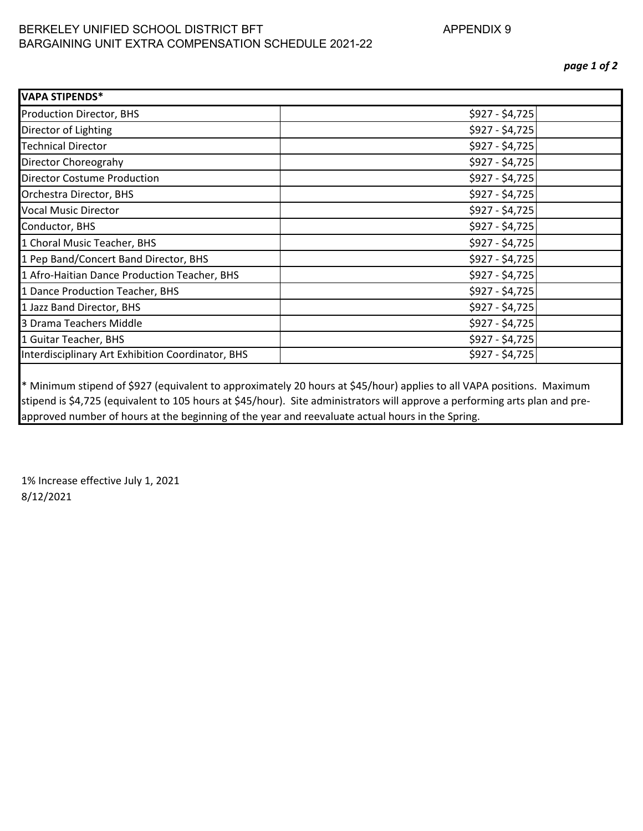## BERKELEY UNIFIED SCHOOL DISTRICT BFT APPENDIX 9 BARGAINING UNIT EXTRA COMPENSATION SCHEDULE 2021-22

| <b>VAPA STIPENDS*</b>                             |                 |
|---------------------------------------------------|-----------------|
| <b>Production Director, BHS</b>                   | \$927 - \$4,725 |
| Director of Lighting                              | \$927 - \$4,725 |
| <b>Technical Director</b>                         | \$927 - \$4,725 |
| Director Choreograhy                              | \$927 - \$4,725 |
| <b>Director Costume Production</b>                | \$927 - \$4,725 |
| Orchestra Director, BHS                           | \$927 - \$4,725 |
| <b>Vocal Music Director</b>                       | $$927 - $4,725$ |
| Conductor, BHS                                    | $$927 - $4,725$ |
| 1 Choral Music Teacher, BHS                       | \$927 - \$4,725 |
| 1 Pep Band/Concert Band Director, BHS             | \$927 - \$4,725 |
| 1 Afro-Haitian Dance Production Teacher, BHS      | \$927 - \$4,725 |
| 1 Dance Production Teacher, BHS                   | \$927 - \$4,725 |
| 1 Jazz Band Director, BHS                         | \$927 - \$4,725 |
| 3 Drama Teachers Middle                           | \$927 - \$4,725 |
| 1 Guitar Teacher, BHS                             | $$927 - $4,725$ |
| Interdisciplinary Art Exhibition Coordinator, BHS | \$927 - \$4,725 |
|                                                   |                 |

\* Minimum stipend of \$927 (equivalent to approximately 20 hours at \$45/hour) applies to all VAPA positions. Maximum stipend is \$4,725 (equivalent to 105 hours at \$45/hour). Site administrators will approve a performing arts plan and preapproved number of hours at the beginning of the year and reevaluate actual hours in the Spring.

1% Increase effective July 1, 2021 8/12/2021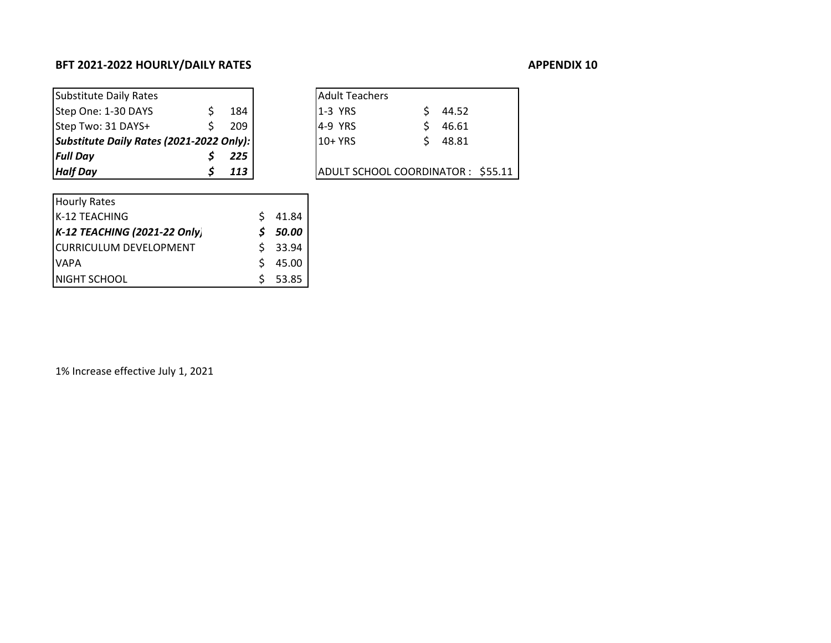## BFT 2021-2022 HOURLY/DAILY RATES APPENDIX 100 MHz

| APPENDIX 10 |  |
|-------------|--|
|-------------|--|

| Substitute Daily Rates                   |     | <b>Adult Teachers</b>             |       |  |
|------------------------------------------|-----|-----------------------------------|-------|--|
| Step One: 1-30 DAYS                      | 184 | <b>11-3 YRS</b>                   | 44.52 |  |
| Step Two: 31 DAYS+                       | 209 | $ 4-9$ YRS                        | 46.61 |  |
| Substitute Daily Rates (2021-2022 Only): |     | 10+ YRS                           | 48.81 |  |
| <b>Full Day</b>                          | 225 |                                   |       |  |
| <b>Half Day</b>                          | 113 | ADULT SCHOOL COORDINATOR: \$55.11 |       |  |

| <b>Adult Teachers</b>             |    |           |  |
|-----------------------------------|----|-----------|--|
| $1-3$ YRS                         | S. | 44.52     |  |
| 4-9 YRS                           | S. | 46.61     |  |
| $10+YRS$                          |    | $5$ 48.81 |  |
|                                   |    |           |  |
| ADULT SCHOOL COORDINATOR: \$55.11 |    |           |  |

| <b>Hourly Rates</b>           |    |         |
|-------------------------------|----|---------|
| K-12 TEACHING                 | Ŝ. | 41.84   |
| K-12 TEACHING (2021-22 Only)  | S. | 50.00   |
| <b>CURRICULUM DEVELOPMENT</b> |    | \$33.94 |
| <b>VAPA</b>                   | S  | 45.00   |
| NIGHT SCHOOL                  |    | 53.85   |

1% Increase effective July 1, 2021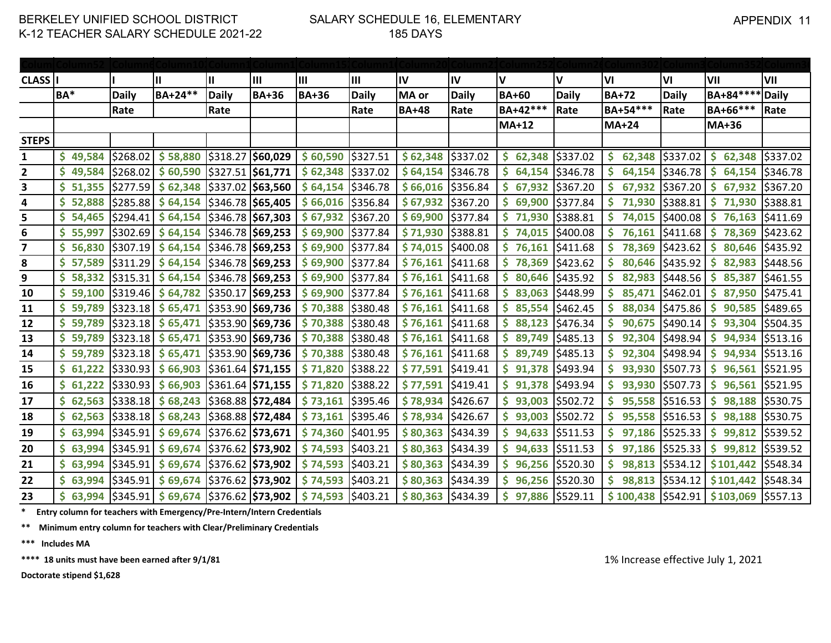### SALARY SCHEDULE 16, ELEMENTARY 185 DAYS

| <b>CLASS</b>            |               |              | Ш                             | Ш                               | Ш                     | Iш           | Ш            | lıv                | IV           | I۷           | I۷           | VI                   | VI              | VII                    | VII          |
|-------------------------|---------------|--------------|-------------------------------|---------------------------------|-----------------------|--------------|--------------|--------------------|--------------|--------------|--------------|----------------------|-----------------|------------------------|--------------|
|                         | BA*           | <b>Daily</b> | BA+24**                       | <b>Daily</b>                    | <b>BA+36</b>          | <b>BA+36</b> | <b>Daily</b> | MA or              | <b>Daily</b> | <b>BA+60</b> | <b>Daily</b> | <b>BA+72</b>         | <b>Daily</b>    | BA+84 ***              | <b>Daily</b> |
|                         |               | Rate         |                               | Rate                            |                       |              | Rate         | <b>BA+48</b>       | Rate         | BA+42 ***    | Rate         | BA+54 ***            | Rate            | BA+66***               | Rate         |
|                         |               |              |                               |                                 |                       |              |              |                    |              | <b>MA+12</b> |              | <b>MA+24</b>         |                 | MA+36                  |              |
| <b>STEPS</b>            |               |              |                               |                                 |                       |              |              |                    |              |              |              |                      |                 |                        |              |
| $\mathbf{1}$            | S<br>49,584   | \$268.02     | \$58,880                      |                                 | \$318.27 \$60,029     | \$60,590     | \$327.51     | \$62,348           | \$337.02     | 62,348<br>\$ | \$337.02     | \$.<br>62,348        | \$337.02        | \$<br>62,348           | \$337.02     |
| $\overline{\mathbf{2}}$ | S<br>49,584   | \$268.02     | \$60,590                      | \$327.51 \$61,771               |                       | \$62,348     | \$337.02     | \$64,154           | \$346.78     | S<br>64,154  | \$346.78     | <b>S</b><br>64,154   | \$346.78        | -S<br>64,154           | \$346.78     |
| 3                       | \$<br>51,355  | \$277.59     | \$62,348                      |                                 | \$337.02 \$63,560     | \$64,154     | \$346.78     | $$66,016$ \$356.84 |              | \$<br>67,932 | \$367.20     | <b>S</b><br>67,932   | \$367.20        | $\mathsf{S}$<br>67,932 | \$367.20     |
| 4                       | \$<br>52,888  | \$285.88     | \$64,154                      |                                 | \$346.78 \$65,405     | \$66,016     | \$356.84     | \$67,932           | \$367.20     | \$<br>69,900 | \$377.84     | \$<br>71,930         | \$388.81        | $\mathsf{S}$<br>71,930 | \$388.81     |
| 5                       | \$<br>54,465  | \$294.41     | \$64,154                      | \$346.78 \$67,303               |                       | \$67,932     | \$367.20     | \$69,900           | \$377.84     | \$<br>71,930 | \$388.81     | \$<br>74,015         | \$400.08        | \$<br>76,163           | \$411.69     |
| 6                       | S.<br>55,997  | \$302.69     | \$64,154                      |                                 | \$346.78 \$69,253     | \$69,900     | \$377.84     | \$71,930           | \$388.81     | \$<br>74,015 | \$400.08     | \$<br>76,161         | \$411.68        | \$<br>78,369           | \$423.62     |
| 7                       | \$.<br>56,830 | \$307.19     | \$64,154                      | \$346.78 \$69,253               |                       | \$69,900     | \$377.84     | \$74,015           | \$400.08     | \$<br>76,161 | \$411.68     | <b>S</b><br>78,369   | \$423.62        | \$<br>80,646           | \$435.92     |
| 8                       | \$57,589      | \$311.29     | \$64,154                      | $\frac{1}{5}$ 346.78 \$69,253   |                       | \$69,900     | \$377.84     | \$76,161           | \$411.68     | \$<br>78,369 | \$423.62     | \$.<br>80,646        | \$435.92        | \$.<br>82,983          | \$448.56     |
| 9                       | \$58,332      | \$315.31     | \$64,154                      | \$346.78 \$69,253               |                       | \$69,900     | \$377.84     | \$76,161           | \$411.68     | S<br>80,646  | \$435.92     | S<br>82,983          | \$448.56        | S.<br>85,387           | \$461.55     |
| 10                      | S.<br>59,100  | 5319.46      | \$64,782                      |                                 | \$350.17 \$69,253     | \$69,900     | \$377.84     | \$76,161           | \$411.68     | S<br>83,063  | \$448.99     | <b>S</b><br>85,471   | \$462.01        | S.<br>87,950           | \$475.41     |
| 11                      | \$59,789      | \$323.18     | \$65,471                      |                                 | \$353.90 \$69,736     | \$70,388     | \$380.48     | \$76,161           | \$411.68     | \$<br>85,554 | \$462.45     | S<br>88,034          | \$475.86        | S.<br>90,585           | \$489.65     |
| 12                      | S.<br>59,789  | \$323.18     | \$65,471                      |                                 | \$353.90 \$69,736     | \$70,388     | \$380.48     | \$76,161           | \$411.68     | S<br>88,123  | \$476.34     | <b>S</b><br>90,675   | \$490.14        | 93,304<br>S            | \$504.35     |
| 13                      | S.<br>59,789  |              | $ $323.18$$ $$65,471$         |                                 | \$353.90 \$69,736     | \$70,388     | \$380.48     | \$76,161           | \$411.68     | S<br>89,749  | \$485.13     | <b>S</b><br>92,304   | \$498.94        | S.<br>94,934           | \$513.16     |
| 14                      | 59,789        |              | $ $323.18$$ $$65,471$         |                                 | $ $353.90$ $ $69,736$ | \$70,388     | \$380.48     | \$76,161           | \$411.68     | \$<br>89,749 | \$485.13     | <b>S</b><br>92,304   | \$498.94        | $\mathsf{S}$<br>94,934 | \$513.16     |
| 15                      | \$61,222      | \$330.93     | \$66,903                      |                                 | \$361.64 \$71,155     | \$71,820     | \$388.22     | \$77,591           | \$419.41     | \$<br>91,378 | \$493.94     | \$.<br>93,930        | \$507.73        | \$<br>96,561           | \$521.95     |
| 16                      | \$61,222      | \$330.93     | \$66,903                      |                                 | \$361.64 \$71,155     | \$71,820     | \$388.22     | \$77,591           | \$419.41     | S<br>91,378  | \$493.94     | 93,930               | \$507.73        | \$.<br>96,561          | \$521.95     |
| 17                      | S.<br>62,563  | \$338.18     | \$68,243                      |                                 | \$368.88 \$72,484     | \$73,161     | \$395.46     | \$78,934           | \$426.67     | \$<br>93,003 | \$502.72     | <b>S</b>             | 95,558 \$516.53 | $\mathsf{S}$<br>98,188 | \$530.75     |
| 18                      | \$62,563      | \$338.18     | \$68,243                      | \$368.88 \$72,484               |                       | \$73,161     | \$395.46     | \$78,934           | \$426.67     | \$<br>93,003 | \$502.72     | <b>S</b><br>95,558   | \$516.53        | \$<br>98,188           | \$530.75     |
| 19                      | \$63,994      | \$345.91     | \$69,674                      | \$376.62 \$73,671               |                       | \$74,360     | \$401.95     | \$80,363           | \$434.39     | 94,633<br>S  | \$511.53     | S<br>97,186          | \$525.33        | \$.<br>99,812          | \$539.52     |
| 20                      | \$63,994      | \$345.91     | \$69,674                      | $\frac{1}{2}$ \$376.62 \$73,902 |                       | \$74,593     | \$403.21     | \$80,363           | \$434.39     | S<br>94,633  | \$511.53     | <b>S</b><br>97,186   | \$525.33        | -S<br>99,812           | \$539.52     |
| 21                      | \$63,994      | \$345.91     | \$69,674                      | \$376.62 \$73,902               |                       | \$74,593     | \$403.21     | \$80,363           | \$434.39     | \$<br>96,256 | \$520.30     | \$.<br>98,813        | \$534.12        | \$101,442              | \$548.34     |
| 22                      | \$63,994      | \$345.91     | \$69,674                      | \$376.62 \$73,902               |                       | \$74,593     | \$403.21     | \$80,363           | \$434.39     | \$<br>96,256 | \$520.30     | Ś<br>98,813          | \$534.12        | \$101,442              | \$548.34     |
| 23                      | \$63,994      | \$345.91     | $$69,674$ $$376.62$ $$73,902$ |                                 |                       | \$74,593     | \$403.21     | \$80,363           | \$434.39     | \$<br>97,886 | \$529.11     | $$100,438$ $$542.91$ |                 | \$103,069              | \$557.13     |

**\* Entry column for teachers with Emergency/Pre-Intern/Intern Credentials**

**\*\* Minimum entry column for teachers with Clear/Preliminary Credentials**

**\*\*\* Includes MA**

\*\*\*\* 18 units must have been earned after 9/1/81 1/2021

**Doctorate stipend \$1,628**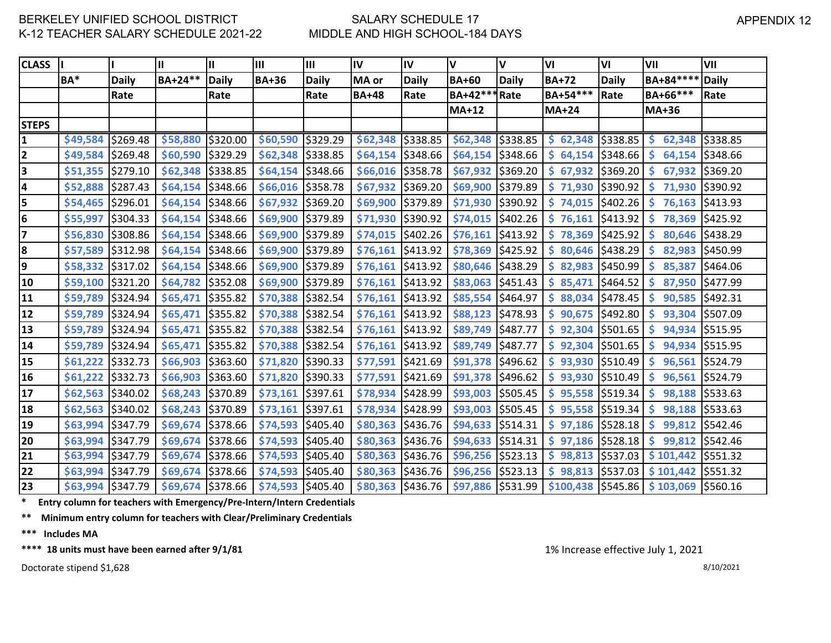# SALARY SCHEDULE 17 MIDDLE AND HIGH SCHOOL-184 DAYS

| <b>CLASS</b> |          |              | Ш                   | Ш            | Ш            | III          | IV           | IV           | V                              | V            | VI                   | VI           | VII                | VII             |
|--------------|----------|--------------|---------------------|--------------|--------------|--------------|--------------|--------------|--------------------------------|--------------|----------------------|--------------|--------------------|-----------------|
|              | BA*      | <b>Daily</b> | BA+24**             | <b>Daily</b> | <b>BA+36</b> | <b>Daily</b> | MA or        | <b>Daily</b> | <b>BA+60</b>                   | <b>Daily</b> | <b>BA+72</b>         | <b>Daily</b> | BA+84 ****         | <b>Daily</b>    |
|              |          | Rate         |                     | Rate         |              | Rate         | <b>BA+48</b> | Rate         | BA+42**                        | Rate         | BA+54 ***            | Rate         | BA+66***           | Rate            |
|              |          |              |                     |              |              |              |              |              | $MA+12$                        |              | <b>MA+24</b>         |              | <b>MA+36</b>       |                 |
| <b>STEPS</b> |          |              |                     |              |              |              |              |              |                                |              |                      |              |                    |                 |
| 1            | \$49,584 | \$269.48     | \$58,880            | \$320.00     | \$60,590     | \$329.29     | \$62,348     | \$338.85     | \$62,348                       | \$338.85     | $$62,348$ $$338.85$  |              | \$.                | 62,348 \$338.85 |
| $\mathbf{2}$ | \$49,584 | \$269.48     | \$60,590            | \$329.29     | \$62,348     | \$338.85     | \$64,154     | \$348.66     | \$64,154                       | \$348.66     | $$64,154$ $$348.66$  |              | <b>S</b><br>64,154 | \$348.66        |
| 3            | \$51,355 | \$279.10     | \$62,348            | \$338.85     | \$64,154     | \$348.66     | \$66,016     | \$358.78     | \$67,932                       | \$369.20     | \$67,932             | \$369.20     | \$<br>67,932       | \$369.20        |
| 4            | \$52,888 | \$287.43     | \$64,154            | \$348.66     | \$66,016     | \$358.78     | \$67,932     | \$369.20     | \$69,900                       | \$379.89     | \$71,930             | \$390.92     | \$<br>71,930       | \$390.92        |
| 5            | \$54,465 | \$296.01     | \$64,154            | \$348.66     | \$67,932     | \$369.20     | \$69,900     | \$379.89     | \$71,930                       | \$390.92     | $$74,015$ $$402.26$  |              | <b>S</b><br>76,163 | \$413.93        |
| 6            | \$55,997 | \$304.33     | \$64,154            | \$348.66     | \$69,900     | \$379.89     | \$71,930     | \$390.92     | \$74,015                       | \$402.26     | \$76,161             | \$413.92     | \$<br>78,369       | \$425.92        |
| 7            | \$56,830 | \$308.86     | \$64,154            | \$348.66     | \$69,900     | \$379.89     | \$74,015     | \$402.26     | \$76,161                       | \$413.92     | 78,369<br>\$.        | \$425.92     | <b>S</b><br>80,646 | \$438.29        |
| 8            | \$57,589 | \$312.98     | $$64,154$ \$348.66  |              | \$69,900     | \$379.89     | \$76,161     | \$413.92     | \$78,369                       | \$425.92     | $$80,646$ $$438.29$  |              | <b>S</b><br>82,983 | \$450.99        |
| 9            | \$58,332 | \$317.02     | \$64,154            | \$348.66     | \$69,900     | \$379.89     | \$76,161     | \$413.92     | \$80,646                       | \$438.29     | $$ 82,983$ $$450.99$ |              | <b>S</b><br>85,387 | \$464.06        |
| 10           | \$59,100 | \$321.20     | \$64,782            | \$352.08     | \$69,900     | \$379.89     | \$76,161     | \$413.92     | \$83,063                       | \$451.43     | \$85,471             | \$464.52     | \$.<br>87,950      | \$477.99        |
| 11           | \$59,789 | \$324.94     | \$65,471            | \$355.82     | \$70,388     | \$382.54     | \$76,161     | \$413.92     | \$85,554                       | \$464.97     | \$88,034             | \$478.45     | <b>S</b><br>90,585 | \$492.31        |
| 12           | \$59,789 | \$324.94     | \$65,471            | \$355.82     | \$70,388     | \$382.54     | \$76,161     | \$413.92     | \$88,123                       | \$478.93     | \$90,675             | \$492.80     | 93,304<br>S        | \$507.09        |
| 13           | \$59,789 | \$324.94     | \$65,471            | \$355.82     | \$70,388     | \$382.54     | \$76,161     | \$413.92     | \$89,749                       | \$487.77     | $$92,304$ $$501.65$  |              | <b>S</b><br>94,934 | \$515.95        |
| 14           | \$59,789 | \$324.94     | \$65,471            | \$355.82     | \$70,388     | \$382.54     | \$76,161     | \$413.92     | \$89,749                       | \$487.77     | \$92,304             | \$501.65     | \$<br>94,934       | \$515.95        |
| 15           | \$61,222 | \$332.73     | \$66,903            | \$363.60     | \$71,820     | \$390.33     | \$77,591     | \$421.69     | \$91,378                       | \$496.62     | \$93,930             | \$510.49     | \$<br>96,561       | \$524.79        |
| 16           | \$61,222 | \$332.73     | \$66,903            | \$363.60     | \$71,820     | \$390.33     | \$77,591     | \$421.69     | \$91,378                       | \$496.62     | $$93,930$ $$510.49$  |              | <b>S</b>           | 96,561 \$524.79 |
| 17           | \$62,563 | \$340.02     | \$68,243            | \$370.89     | \$73,161     | \$397.61     | \$78,934     | \$428.99     | \$93,003                       | \$505.45     | $$95,558$ $$519.34$  |              | <b>S</b><br>98,188 | \$533.63        |
| 18           | \$62,563 | \$340.02     | \$68,243            | \$370.89     | \$73,161     | \$397.61     | \$78,934     | \$428.99     | \$93,003                       | \$505.45     | $$95,558$ $$519.34$  |              | \$.<br>98,188      | 5533.63         |
| 19           | \$63,994 | \$347.79     | \$69,674            | \$378.66     | \$74,593     | \$405.40     | \$80,363     | \$436.76     | \$94,633                       | \$514.31     | $$97,186$ $$528.18$  |              | <b>S</b><br>99,812 | \$542.46        |
| 20           | \$63,994 | \$347.79     | \$69,674            | \$378.66     | \$74,593     | \$405.40     | \$80,363     | \$436.76     | \$94,633                       | \$514.31     | $$97,186$ $$528.18$  |              | <b>S</b>           | 99,812 \$542.46 |
| 21           | \$63,994 | \$347.79     | \$69,674            | \$378.66     | \$74,593     | \$405.40     | \$80,363     | \$436.76     | \$96,256                       | \$523.13     | \$98,813             | \$537.03     | \$101,442          | 5551.32         |
| 22           | \$63,994 | \$347.79     | \$69,674            | \$378.66     | \$74,593     | \$405.40     | \$80,363     | \$436.76     | \$96,256                       | \$523.13     | $$98,813$ $$537.03$  |              | \$101,442          | \$551.32        |
| 23           | \$63,994 | \$347.79     | $$69,674$ $$378.66$ |              | \$74,593     | \$405.40     | \$80,363     | \$436.76     | $\frac{1}{2}$ \$97,886 5531.99 |              | $$100,438$ $$545.86$ |              | \$103,069          | \$560.16        |

**\* Entry column for teachers with Emergency/Pre-Intern/Intern Credentials**

**\*\* Minimum entry column for teachers with Clear/Preliminary Credentials**

**\*\*\* Includes MA**

\*\*\*\* 18 units must have been earned after  $9/1/81$  1% Increase effective July 1, 2021

Doctorate stipend  $$1,628$  8/10/2021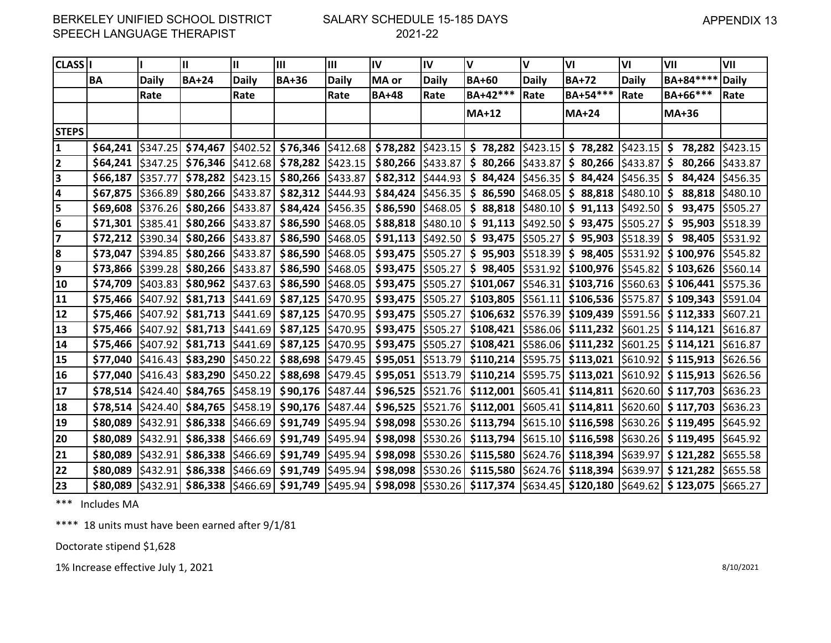### SALARY SCHEDULE 15-185 DAYS 2021-22

| <b>CLASS I</b>          |                     |                  | Ш                   | Ш        | Ш                                                                                 | $\mathbf{III}$ | $\mathsf{IV}$       | IV           | $\mathsf{v}$                                                                                                                                                     | V            | VI                                                                                                | VI              | VII                                                                                                                                                                                                                                                                                | VII          |
|-------------------------|---------------------|------------------|---------------------|----------|-----------------------------------------------------------------------------------|----------------|---------------------|--------------|------------------------------------------------------------------------------------------------------------------------------------------------------------------|--------------|---------------------------------------------------------------------------------------------------|-----------------|------------------------------------------------------------------------------------------------------------------------------------------------------------------------------------------------------------------------------------------------------------------------------------|--------------|
|                         | ΒA                  | <b>Daily</b>     | <b>BA+24</b>        | Daily    | <b>BA+36</b>                                                                      | Daily          | MA or               | <b>Daily</b> | <b>BA+60</b>                                                                                                                                                     | <b>Daily</b> | <b>BA+72</b>                                                                                      | Daily           | BA+84 ****                                                                                                                                                                                                                                                                         | <b>Daily</b> |
|                         |                     | Rate             |                     | Rate     |                                                                                   | Rate           | <b>BA+48</b>        | Rate         | BA+42***                                                                                                                                                         | Rate         | BA+54 ***                                                                                         | Rate            | BA+66***                                                                                                                                                                                                                                                                           | Rate         |
|                         |                     |                  |                     |          |                                                                                   |                |                     |              | <b>MA+12</b>                                                                                                                                                     |              | $MA+24$                                                                                           |                 | <b>MA+36</b>                                                                                                                                                                                                                                                                       |              |
| <b>STEPS</b>            |                     |                  |                     |          |                                                                                   |                |                     |              |                                                                                                                                                                  |              |                                                                                                   |                 |                                                                                                                                                                                                                                                                                    |              |
| 1                       | \$64,241            |                  |                     |          |                                                                                   |                |                     |              |                                                                                                                                                                  |              |                                                                                                   |                 | $\frac{1}{2}$ 5347.25 $\frac{1}{2}$ 54,467 $\frac{1}{2}$ 5402.52 $\frac{1}{2}$ 576,346 $\frac{1}{2}$ 5412.68 $\frac{1}{2}$ 578,282 $\frac{1}{2}$ 5423.15 $\frac{1}{2}$ 5423.15 $\frac{1}{2}$ 5423.15 $\frac{1}{2}$ 78,282 $\frac{1}{2}$ 5423.15 $\frac{1}{2}$ 78,282 $\frac{1}{2}$ |              |
| $\overline{2}$          | \$64,241            | \$347.25         |                     |          | $$76,346$ $$412.68$ $$78,282$ $$423.15$                                           |                | $$80,266$ $$433.87$ |              |                                                                                                                                                                  |              | $\frac{1}{2}$ 80,266 $\frac{1}{2}$ 433.87 $\frac{1}{2}$ 80,266                                    | $$433.87$ \$    | 80,266                                                                                                                                                                                                                                                                             | \$433.87     |
| $\overline{\mathbf{3}}$ | \$66,187            | \$357.77         | \$78,282            |          | $\left  \frac{2423.15}{9.80,266} \right  \left  \frac{2433.87}{9.80,266} \right $ |                | $$82,312$ $$444.93$ |              |                                                                                                                                                                  |              | $$84,424$ $$456.35$ $$84,424$                                                                     | $$456.35$ \$    | 84,424                                                                                                                                                                                                                                                                             | \$456.35     |
| 4                       | \$67,875            | \$366.89         |                     |          | $$80,266$ $$433.87$ $$82,312$ $$444.93$                                           |                |                     |              | $$84,424$ $$456.35$ $$86,590$ $$468.05$ $$88,818$                                                                                                                |              |                                                                                                   | $$480.10$ \$    | 88,818                                                                                                                                                                                                                                                                             | \$480.10     |
| 5                       | \$69,608            | \$376.26         | \$80,266            | \$433.87 | \$84,424   \$456.35                                                               |                | $$86,590$ $$468.05$ |              |                                                                                                                                                                  |              | $\frac{1}{2}$ 88,818 $\frac{1}{2}$ 480.10 $\frac{1}{2}$ 91,113 $\frac{1}{2}$ 492.50 $\frac{1}{2}$ |                 | 93,475                                                                                                                                                                                                                                                                             | \$505.27     |
| 6                       | \$71,301            | \$385.41         |                     |          | $$80,266$ $$433.87$ $$86,590$ $$468.05$                                           |                |                     |              | $$88,818$ $$480.10$ $$91,113$ $$492.50$ $$93,475$                                                                                                                |              |                                                                                                   | $ $505.27$ $ $$ | 95,903                                                                                                                                                                                                                                                                             | \$518.39     |
| 7                       | \$72,212            | \$390.34         | \$80,266            |          | $\left  \frac{2433.87}{2} \right $ \$86,590   \$468.05                            |                |                     |              | $$91,113$ $$492.50$ $$93,475$ $$505.27$                                                                                                                          |              | $\frac{1}{2}$ \$ 95,903 $\frac{1}{2}$ 518.39 \$                                                   |                 | 98,405                                                                                                                                                                                                                                                                             | \$531.92     |
| 8                       | \$73,047            | \$394.85         | \$80,266            |          | $\left  \frac{2433.87}{2} \right $ \$86,590 $\left  \frac{2468.05}{2} \right $    |                | \$93,475   \$505.27 |              |                                                                                                                                                                  |              | $$95,903$ $$518.39$ $$98,405$                                                                     |                 | \$531.92 \$100,976                                                                                                                                                                                                                                                                 | \$545.82     |
| 9                       | \$73,866            | \$399.28         |                     |          | $$80,266$ $$433.87$ $$86,590$ $$468.05$                                           |                | \$93,475   \$505.27 |              |                                                                                                                                                                  |              | $$98,405$ $$531.92$ $$100,976$                                                                    |                 | $ $545.82]$ \$ 103,626                                                                                                                                                                                                                                                             | \$560.14     |
| 10                      | \$74,709            | \$403.83         |                     |          | $$80,962$ $$437.63$ $$86,590$ $$468.05$                                           |                | $$93,475$ $$505.27$ |              |                                                                                                                                                                  |              | $$101,067$ $$546.31$ $$103,716$ $$560.63$ $$106,441$                                              |                 |                                                                                                                                                                                                                                                                                    | \$575.36     |
| 11                      | \$75,466            | <b>IS407.921</b> |                     |          | $$81,713$ $$441.69$ $$87,125$ $$470.95$                                           |                | $$93,475$ $$505.27$ |              |                                                                                                                                                                  |              | $$103,805$ $$561.11$ $$106,536$ $$575.87$ $$109,343$                                              |                 |                                                                                                                                                                                                                                                                                    | S591.04      |
| 12                      | \$75,466            | \$407.92         |                     |          | $$81,713$ $$441.69$ $$87,125$ $$470.95$                                           |                | $$93,475$ $$505.27$ |              |                                                                                                                                                                  |              | $$106,632$ $$576.39$ $$109,439$ $$591.56$ $$112,333$                                              |                 |                                                                                                                                                                                                                                                                                    | \$607.21     |
| 13                      | \$75,466   \$407.92 |                  |                     |          | \$81,713   \$441.69   \$87,125   \$470.95                                         |                | \$93,475   \$505.27 |              |                                                                                                                                                                  |              | $$108,421$ $$586.06$ $$111,232$ $$601.25$ $$114,121$                                              |                 |                                                                                                                                                                                                                                                                                    | \$616.87     |
| 14                      | \$75,466            | \$407.92         |                     |          | $$81,713$ $$441.69$ $$87,125$ $$470.95$                                           |                | \$93,475   \$505.27 |              |                                                                                                                                                                  |              | $$108,421$ $$586.06$ $$111,232$ $$601.25$ $$114,121$                                              |                 |                                                                                                                                                                                                                                                                                    | \$616.87     |
| 15                      | \$77,040            | \$416.43         | $$83,290$ $$450.22$ |          | \$88,698   \$479.45                                                               |                | $$95,051$ $$513.79$ |              | \$110,214                                                                                                                                                        |              | $ $595.75$ $$113,021$                                                                             |                 | $ $610.92]$ \$ 115,913                                                                                                                                                                                                                                                             | \$626.56     |
| 16                      | $$77,040$ $$416.43$ |                  |                     |          | $$83,290$ $$450.22$ $$88,698$ $$479.45$                                           |                |                     |              |                                                                                                                                                                  |              |                                                                                                   |                 | \$95,051  \$513.79   \$110,214  \$595.75   \$113,021  \$610.92   \$115,913  \$626.56                                                                                                                                                                                               |              |
| 17                      | \$78,514            | \$424.40         |                     |          | $$84,765$ $$458.19$ $$90,176$ $$487.44$                                           |                |                     |              | $$96,525$ $$521.76$ $$112,001$ $$605.41$ $$114,811$ $$620.60$ $$117,703$                                                                                         |              |                                                                                                   |                 |                                                                                                                                                                                                                                                                                    | \$636.23     |
| 18                      | \$78,514            | \$424.40         |                     |          | $$84,765$ $$458.19$ $$90,176$ $$487.44$                                           |                | \$96,525   \$521.76 |              |                                                                                                                                                                  |              | $$112,001$ $$605.41$ $$114,811$ $$620.60$ $$117,703$                                              |                 |                                                                                                                                                                                                                                                                                    | \$636.23     |
| 19                      | \$80,089            | \$432.91         |                     |          | $$86,338$ $$466.69$ $$91,749$ $$495.94$                                           |                |                     |              | $\frac{1}{2}$ \$98,098 $\frac{1}{2}$ 530.26 $\frac{1}{2}$ \$113,794 $\frac{1}{2}$ \$15.10 $\frac{1}{2}$ \$116,598 $\frac{1}{2}$ \$630.26 $\frac{1}{2}$ \$119,495 |              |                                                                                                   |                 |                                                                                                                                                                                                                                                                                    | \$645.92     |
| 20                      | \$80,089            | \$432.91         |                     |          | $$86,338$ $$466.69$ $$91,749$ $$495.94$                                           |                | $$98,098$ $$530.26$ |              |                                                                                                                                                                  |              | $$113,794$ $$615.10$ $$116,598$                                                                   |                 | $ $630.26]$ \$ 119,495                                                                                                                                                                                                                                                             | \$645.92     |
| 21                      | \$80,089            | \$432.91         | \$86,338            |          | $ \$466.69 $ \$91,749 $ \$495.94 $                                                |                | \$98,098 \$530.26   |              |                                                                                                                                                                  |              | $$115,580$ $$624.76$ $$118,394$ $$639.97$ $$121,282$                                              |                 |                                                                                                                                                                                                                                                                                    | \$655.58     |
| 22                      | \$80,089            | \$432.91         |                     |          | $$86,338$ $$466.69$ $$91,749$ $$495.94$                                           |                | $$98,098$ $$530.26$ |              |                                                                                                                                                                  |              | $$115,580$ $$624.76$ $$118,394$                                                                   | \$639.97        | \$121,282                                                                                                                                                                                                                                                                          | \$655.58     |
| 23                      | \$80,089            |                  |                     |          |                                                                                   |                |                     |              |                                                                                                                                                                  |              |                                                                                                   |                 | \$432.91  \$86,338  \$466.69  \$91,749  \$495.94  \$98,098  \$530.26  \$117,374  \$634.45  \$120,180  \$649.62  \$123,075                                                                                                                                                          | \$665.27     |

\*\*\* Includes MA

\*\*\*\* 18 units must have been earned after 9/1/81

Doctorate stipend \$1,628

1% Increase effective July 1, 2021 8/10/2021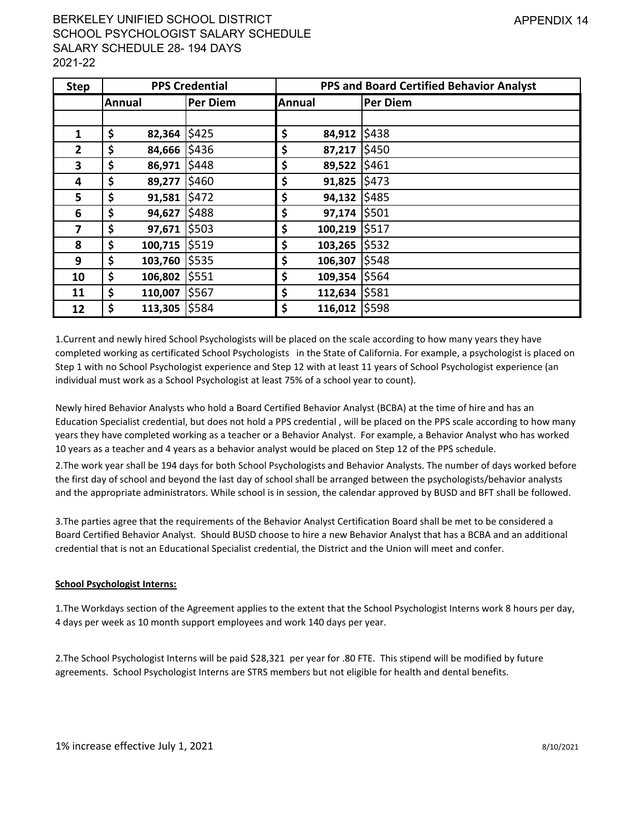# BERKELEY UNIFIED SCHOOL DISTRICT SCHOOL PSYCHOLOGIST SALARY SCHEDULE SALARY SCHEDULE 28- 194 DAYS 2021-22

| <b>Step</b>  |               | <b>PPS Credential</b> |               | PPS and Board Certified Behavior Analyst |
|--------------|---------------|-----------------------|---------------|------------------------------------------|
|              | <b>Annual</b> | Per Diem              | <b>Annual</b> | <b>Per Diem</b>                          |
|              |               |                       |               |                                          |
| 1            | \$<br>82,364  | \$425                 | \$<br>84,912  | \$438                                    |
| $\mathbf{2}$ | \$<br>84,666  | \$436                 | \$<br>87,217  | \$450                                    |
| 3            | \$<br>86,971  | \$448                 | \$<br>89,522  | \$461                                    |
| 4            | \$<br>89,277  | \$460                 | \$<br>91,825  | \$473                                    |
| 5            | \$<br>91,581  | \$472                 | \$<br>94,132  | \$485                                    |
| 6            | \$<br>94,627  | \$488                 | \$<br>97,174  | \$501                                    |
| 7            | \$<br>97,671  | \$503                 | \$<br>100,219 | \$517                                    |
| 8            | \$<br>100,715 | \$519                 | \$<br>103,265 | \$532                                    |
| 9            | \$<br>103,760 | \$535                 | \$<br>106,307 | \$548                                    |
| 10           | \$<br>106,802 | \$551                 | \$<br>109,354 | \$564                                    |
| 11           | \$<br>110,007 | \$567                 | \$<br>112,634 | \$581                                    |
| 12           | \$<br>113,305 | \$584                 | \$<br>116,012 | \$598                                    |

1.Current and newly hired School Psychologists will be placed on the scale according to how many years they have completed working as certificated School Psychologists in the State of California. For example, a psychologist is placed on Step 1 with no School Psychologist experience and Step 12 with at least 11 years of School Psychologist experience (an individual must work as a School Psychologist at least 75% of a school year to count).

Newly hired Behavior Analysts who hold a Board Certified Behavior Analyst (BCBA) at the time of hire and has an Education Specialist credential, but does not hold a PPS credential , will be placed on the PPS scale according to how many years they have completed working as a teacher or a Behavior Analyst. For example, a Behavior Analyst who has worked 10 years as a teacher and 4 years as a behavior analyst would be placed on Step 12 of the PPS schedule.

2.The work year shall be 194 days for both School Psychologists and Behavior Analysts. The number of days worked before the first day of school and beyond the last day of school shall be arranged between the psychologists/behavior analysts and the appropriate administrators. While school is in session, the calendar approved by BUSD and BFT shall be followed.

3.The parties agree that the requirements of the Behavior Analyst Certification Board shall be met to be considered a Board Certified Behavior Analyst. Should BUSD choose to hire a new Behavior Analyst that has a BCBA and an additional credential that is not an Educational Specialist credential, the District and the Union will meet and confer.

#### **School Psychologist Interns:**

1.The Workdays section of the Agreement applies to the extent that the School Psychologist Interns work 8 hours per day, 4 days per week as 10 month support employees and work 140 days per year.

2.The School Psychologist Interns will be paid \$28,321 per year for .80 FTE. This stipend will be modified by future agreements. School Psychologist Interns are STRS members but not eligible for health and dental benefits.